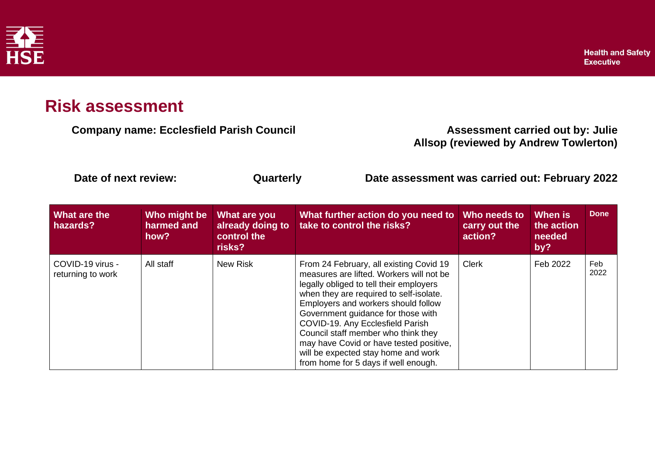

## **Risk assessment**

**Company name: Ecclesfield Parish Council Company Assessment carried out by: Julie** 

**Allsop (reviewed by Andrew Towlerton)**

**Date of next review: Quarterly Date assessment was carried out: February 2022**

| What are the<br>hazards?              | Who might be<br>harmed and<br>how? | What are you<br>already doing to<br>control the<br>risks? | What further action do you need to<br>take to control the risks?                                                                                                                                                                                                                                                                                                                                                                                            | Who needs to<br>carry out the<br>action? | When is<br>the action<br>needed<br>by? | <b>Done</b> |
|---------------------------------------|------------------------------------|-----------------------------------------------------------|-------------------------------------------------------------------------------------------------------------------------------------------------------------------------------------------------------------------------------------------------------------------------------------------------------------------------------------------------------------------------------------------------------------------------------------------------------------|------------------------------------------|----------------------------------------|-------------|
| COVID-19 virus -<br>returning to work | All staff                          | <b>New Risk</b>                                           | From 24 February, all existing Covid 19<br>measures are lifted. Workers will not be<br>legally obliged to tell their employers<br>when they are required to self-isolate.<br>Employers and workers should follow<br>Government guidance for those with<br>COVID-19. Any Ecclesfield Parish<br>Council staff member who think they<br>may have Covid or have tested positive,<br>will be expected stay home and work<br>from home for 5 days if well enough. | <b>Clerk</b>                             | Feb 2022                               | Feb<br>2022 |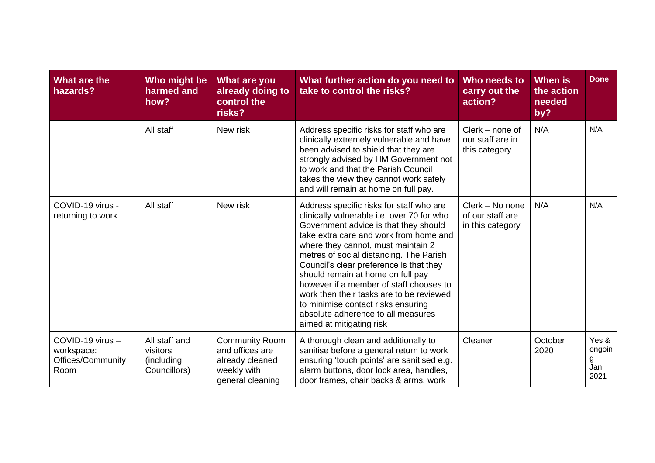| What are the<br>hazards?                                    | Who might be<br>harmed and<br>how?                       | <b>What are you</b><br>already doing to<br>control the<br>risks?                               | What further action do you need to<br>take to control the risks?                                                                                                                                                                                                                                                                                                                                                                                                                                                                          | Who needs to<br>carry out the<br>action?                | <b>When is</b><br>the action<br>needed<br>by? | <b>Done</b>                         |
|-------------------------------------------------------------|----------------------------------------------------------|------------------------------------------------------------------------------------------------|-------------------------------------------------------------------------------------------------------------------------------------------------------------------------------------------------------------------------------------------------------------------------------------------------------------------------------------------------------------------------------------------------------------------------------------------------------------------------------------------------------------------------------------------|---------------------------------------------------------|-----------------------------------------------|-------------------------------------|
|                                                             | All staff                                                | New risk                                                                                       | Address specific risks for staff who are<br>clinically extremely vulnerable and have<br>been advised to shield that they are<br>strongly advised by HM Government not<br>to work and that the Parish Council<br>takes the view they cannot work safely<br>and will remain at home on full pay.                                                                                                                                                                                                                                            | $Clerk - none$ of<br>our staff are in<br>this category  | N/A                                           | N/A                                 |
| COVID-19 virus -<br>returning to work                       | All staff                                                | New risk                                                                                       | Address specific risks for staff who are<br>clinically vulnerable i.e. over 70 for who<br>Government advice is that they should<br>take extra care and work from home and<br>where they cannot, must maintain 2<br>metres of social distancing. The Parish<br>Council's clear preference is that they<br>should remain at home on full pay<br>however if a member of staff chooses to<br>work then their tasks are to be reviewed<br>to minimise contact risks ensuring<br>absolute adherence to all measures<br>aimed at mitigating risk | Clerk - No none<br>of our staff are<br>in this category | N/A                                           | N/A                                 |
| COVID-19 virus -<br>workspace:<br>Offices/Community<br>Room | All staff and<br>visitors<br>(including)<br>Councillors) | <b>Community Room</b><br>and offices are<br>already cleaned<br>weekly with<br>general cleaning | A thorough clean and additionally to<br>sanitise before a general return to work<br>ensuring 'touch points' are sanitised e.g.<br>alarm buttons, door lock area, handles,<br>door frames, chair backs & arms, work                                                                                                                                                                                                                                                                                                                        | Cleaner                                                 | October<br>2020                               | Yes &<br>ongoin<br>g<br>Jan<br>2021 |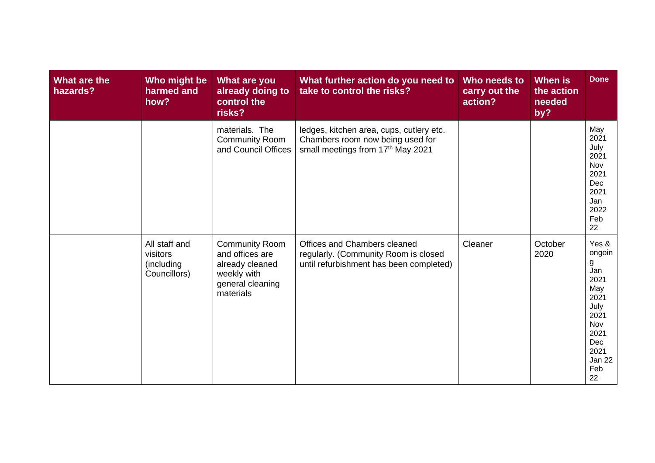| What are the<br>hazards? | Who might be<br>harmed and<br>how?                      | What are you<br>already doing to<br>control the<br>risks?                                                   | What further action do you need to<br>take to control the risks?                                                  | Who needs to<br>carry out the<br>action? | <b>When</b> is<br>the action<br>needed<br>by? | <b>Done</b>                                                                                                             |
|--------------------------|---------------------------------------------------------|-------------------------------------------------------------------------------------------------------------|-------------------------------------------------------------------------------------------------------------------|------------------------------------------|-----------------------------------------------|-------------------------------------------------------------------------------------------------------------------------|
|                          |                                                         | materials. The<br><b>Community Room</b><br>and Council Offices                                              | ledges, kitchen area, cups, cutlery etc.<br>Chambers room now being used for<br>small meetings from 17th May 2021 |                                          |                                               | May<br>2021<br>July<br>2021<br>Nov<br>2021<br>Dec<br>2021<br>Jan<br>2022<br>Feb<br>22                                   |
|                          | All staff and<br>visitors<br>(including<br>Councillors) | <b>Community Room</b><br>and offices are<br>already cleaned<br>weekly with<br>general cleaning<br>materials | Offices and Chambers cleaned<br>regularly. (Community Room is closed<br>until refurbishment has been completed)   | Cleaner                                  | October<br>2020                               | Yes &<br>ongoin<br>g<br>Jan<br>2021<br>May<br>2021<br>July<br>2021<br>Nov<br>2021<br>Dec<br>2021<br>Jan 22<br>Feb<br>22 |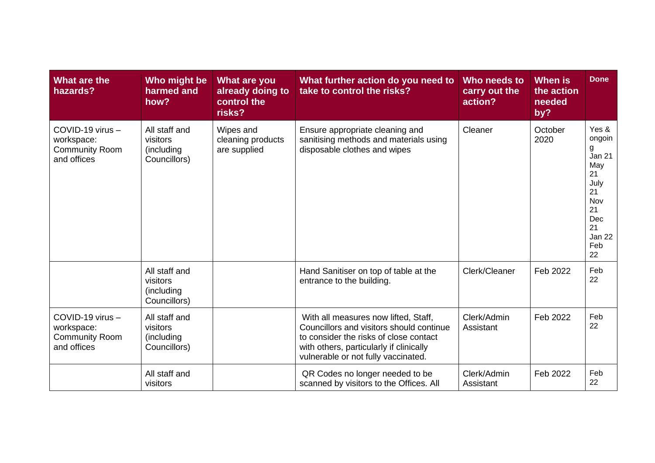| What are the<br>hazards?                                               | Who might be<br>harmed and<br>how?                      | <b>What are you</b><br>already doing to<br>control the<br>risks? | What further action do you need to<br>take to control the risks?                                                                                                                                             | Who needs to<br>carry out the<br>action? | <b>When is</b><br>the action<br>needed<br>by? | <b>Done</b>                                                                                                |
|------------------------------------------------------------------------|---------------------------------------------------------|------------------------------------------------------------------|--------------------------------------------------------------------------------------------------------------------------------------------------------------------------------------------------------------|------------------------------------------|-----------------------------------------------|------------------------------------------------------------------------------------------------------------|
| COVID-19 virus -<br>workspace:<br><b>Community Room</b><br>and offices | All staff and<br>visitors<br>(including<br>Councillors) | Wipes and<br>cleaning products<br>are supplied                   | Ensure appropriate cleaning and<br>sanitising methods and materials using<br>disposable clothes and wipes                                                                                                    | Cleaner                                  | October<br>2020                               | Yes &<br>ongoin<br>g<br>Jan 21<br>May<br>21<br>July<br>21<br>Nov<br>21<br>Dec<br>21<br>Jan 22<br>Feb<br>22 |
|                                                                        | All staff and<br>visitors<br>(including<br>Councillors) |                                                                  | Hand Sanitiser on top of table at the<br>entrance to the building.                                                                                                                                           | Clerk/Cleaner                            | Feb 2022                                      | Feb<br>22                                                                                                  |
| COVID-19 virus -<br>workspace:<br><b>Community Room</b><br>and offices | All staff and<br>visitors<br>(including<br>Councillors) |                                                                  | With all measures now lifted, Staff,<br>Councillors and visitors should continue<br>to consider the risks of close contact<br>with others, particularly if clinically<br>vulnerable or not fully vaccinated. | Clerk/Admin<br>Assistant                 | Feb 2022                                      | Feb<br>22                                                                                                  |
|                                                                        | All staff and<br>visitors                               |                                                                  | QR Codes no longer needed to be<br>scanned by visitors to the Offices. All                                                                                                                                   | Clerk/Admin<br>Assistant                 | Feb 2022                                      | Feb<br>22                                                                                                  |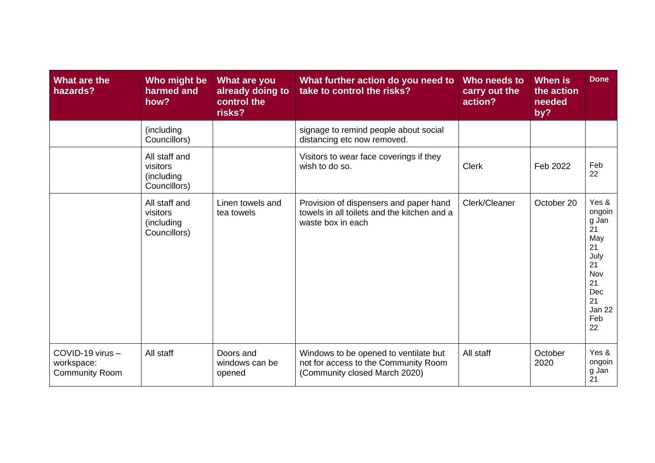| What are the<br>hazards?                                | Who might be<br>harmed and<br>how?                      | What are you<br>already doing to<br>control the<br>risks? | What further action do you need to<br>take to control the risks?                                               | Who needs to<br>carry out the<br>action? | When is<br>the action<br>needed<br>by? | <b>Done</b>                                                                                                |
|---------------------------------------------------------|---------------------------------------------------------|-----------------------------------------------------------|----------------------------------------------------------------------------------------------------------------|------------------------------------------|----------------------------------------|------------------------------------------------------------------------------------------------------------|
|                                                         | (including<br>Councillors)                              |                                                           | signage to remind people about social<br>distancing etc now removed.                                           |                                          |                                        |                                                                                                            |
|                                                         | All staff and<br>visitors<br>(including<br>Councillors) |                                                           | Visitors to wear face coverings if they<br>wish to do so.                                                      | <b>Clerk</b>                             | Feb 2022                               | Feb<br>22                                                                                                  |
|                                                         | All staff and<br>visitors<br>(including<br>Councillors) | Linen towels and<br>tea towels                            | Provision of dispensers and paper hand<br>towels in all toilets and the kitchen and a<br>waste box in each     | Clerk/Cleaner                            | October 20                             | Yes &<br>ongoin<br>g Jan<br>21<br>May<br>21<br>July<br>21<br>Nov<br>21<br>Dec<br>21<br>Jan 22<br>Feb<br>22 |
| COVID-19 virus -<br>workspace:<br><b>Community Room</b> | All staff                                               | Doors and<br>windows can be<br>opened                     | Windows to be opened to ventilate but<br>not for access to the Community Room<br>(Community closed March 2020) | All staff                                | October<br>2020                        | Yes &<br>ongoin<br>g Jan<br>21                                                                             |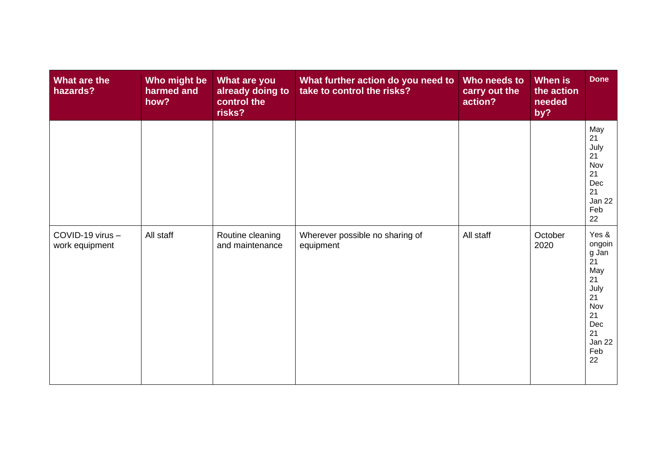| What are the<br>hazards?           | Who might be<br>harmed and<br>how? | What are you<br>already doing to<br>control the<br>risks? | What further action do you need to<br>take to control the risks? | Who needs to<br>carry out the<br>action? | When is<br>the action<br>needed<br>by? | <b>Done</b>                                                                                                             |
|------------------------------------|------------------------------------|-----------------------------------------------------------|------------------------------------------------------------------|------------------------------------------|----------------------------------------|-------------------------------------------------------------------------------------------------------------------------|
|                                    |                                    |                                                           |                                                                  |                                          |                                        | May<br>21<br>July<br>21<br>Nov<br>21<br>Dec<br>21<br>Jan 22<br>Feb<br>22                                                |
| COVID-19 virus -<br>work equipment | All staff                          | Routine cleaning<br>and maintenance                       | Wherever possible no sharing of<br>equipment                     | All staff                                | October<br>2020                        | Yes &<br>ongoin<br>g Jan<br>$\overline{2}1$<br>May<br>21<br>July<br>21<br>Nov<br>21<br>Dec<br>21<br>Jan 22<br>Feb<br>22 |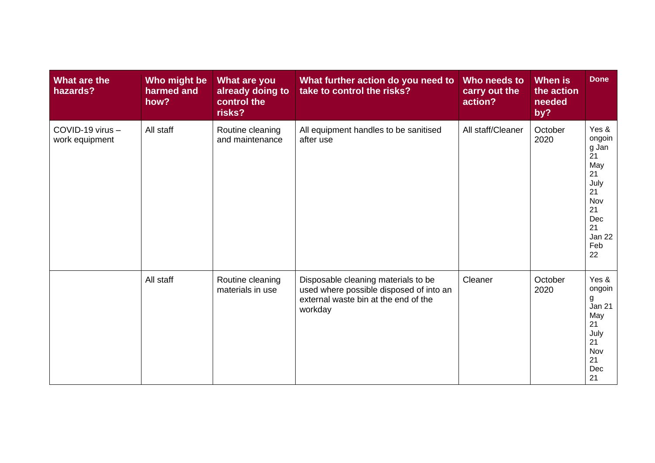| What are the<br>hazards?           | Who might be<br>harmed and<br>how? | What are you<br>already doing to<br>control the<br>risks? | What further action do you need to<br>take to control the risks?                                                                  | Who needs to<br>carry out the<br>action? | When is<br>the action<br>needed<br>by? | <b>Done</b>                                                                                                |
|------------------------------------|------------------------------------|-----------------------------------------------------------|-----------------------------------------------------------------------------------------------------------------------------------|------------------------------------------|----------------------------------------|------------------------------------------------------------------------------------------------------------|
| COVID-19 virus -<br>work equipment | All staff                          | Routine cleaning<br>and maintenance                       | All equipment handles to be sanitised<br>after use                                                                                | All staff/Cleaner                        | October<br>2020                        | Yes &<br>ongoin<br>g Jan<br>21<br>May<br>21<br>July<br>21<br>Nov<br>21<br>Dec<br>21<br>Jan 22<br>Feb<br>22 |
|                                    | All staff                          | Routine cleaning<br>materials in use                      | Disposable cleaning materials to be<br>used where possible disposed of into an<br>external waste bin at the end of the<br>workday | Cleaner                                  | October<br>2020                        | Yes &<br>ongoin<br>g<br><b>Jan 21</b><br>May<br>21<br>July<br>21<br>Nov<br>21<br>Dec<br>21                 |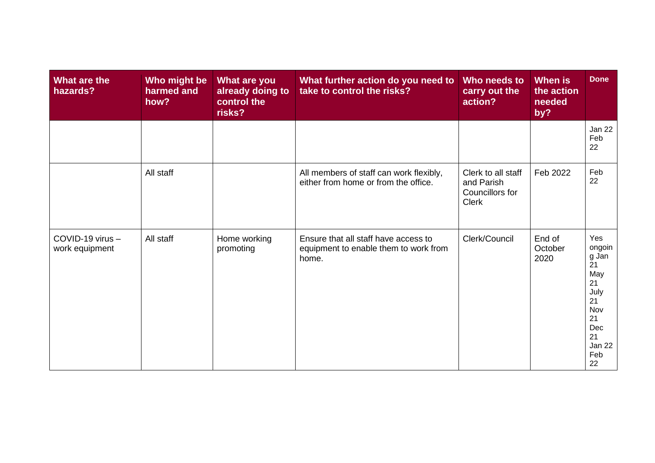| What are the<br>hazards?           | Who might be<br>harmed and<br>how? | What are you<br>already doing to<br>control the<br>risks? | What further action do you need to<br>take to control the risks?                       | Who needs to<br>carry out the<br>action?                            | When is<br>the action<br>needed<br>by? | <b>Done</b>                                                                                              |
|------------------------------------|------------------------------------|-----------------------------------------------------------|----------------------------------------------------------------------------------------|---------------------------------------------------------------------|----------------------------------------|----------------------------------------------------------------------------------------------------------|
|                                    |                                    |                                                           |                                                                                        |                                                                     |                                        | Jan 22<br>Feb<br>22                                                                                      |
|                                    | All staff                          |                                                           | All members of staff can work flexibly,<br>either from home or from the office.        | Clerk to all staff<br>and Parish<br>Councillors for<br><b>Clerk</b> | Feb 2022                               | Feb<br>22                                                                                                |
| COVID-19 virus -<br>work equipment | All staff                          | Home working<br>promoting                                 | Ensure that all staff have access to<br>equipment to enable them to work from<br>home. | Clerk/Council                                                       | End of<br>October<br>2020              | Yes<br>ongoin<br>g Jan<br>21<br>May<br>21<br>July<br>21<br>Nov<br>21<br>Dec<br>21<br>Jan 22<br>Feb<br>22 |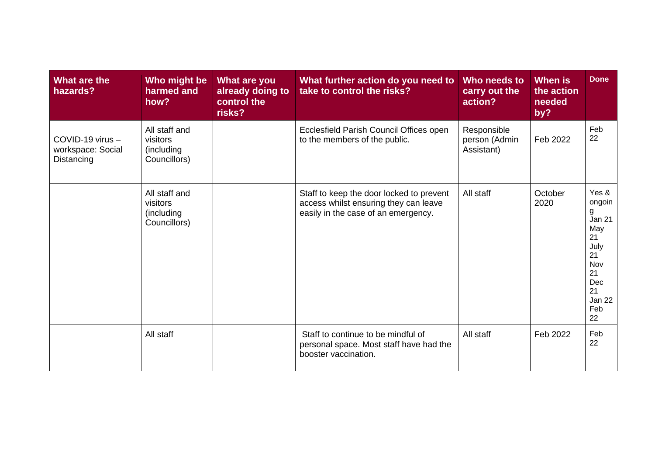| What are the<br>hazards?                            | Who might be<br>harmed and<br>how?                      | <b>What are you</b><br>already doing to<br>control the<br>risks? | What further action do you need to<br>take to control the risks?                                                         | Who needs to<br>carry out the<br>action?   | When is<br>the action<br>needed<br>by? | <b>Done</b>                                                                                                |
|-----------------------------------------------------|---------------------------------------------------------|------------------------------------------------------------------|--------------------------------------------------------------------------------------------------------------------------|--------------------------------------------|----------------------------------------|------------------------------------------------------------------------------------------------------------|
| COVID-19 virus -<br>workspace: Social<br>Distancing | All staff and<br>visitors<br>(including<br>Councillors) |                                                                  | Ecclesfield Parish Council Offices open<br>to the members of the public.                                                 | Responsible<br>person (Admin<br>Assistant) | Feb 2022                               | Feb<br>22                                                                                                  |
|                                                     | All staff and<br>visitors<br>(including<br>Councillors) |                                                                  | Staff to keep the door locked to prevent<br>access whilst ensuring they can leave<br>easily in the case of an emergency. | All staff                                  | October<br>2020                        | Yes &<br>ongoin<br>g<br>Jan 21<br>May<br>21<br>July<br>21<br>Nov<br>21<br>Dec<br>21<br>Jan 22<br>Feb<br>22 |
|                                                     | All staff                                               |                                                                  | Staff to continue to be mindful of<br>personal space. Most staff have had the<br>booster vaccination.                    | All staff                                  | Feb 2022                               | Feb<br>22                                                                                                  |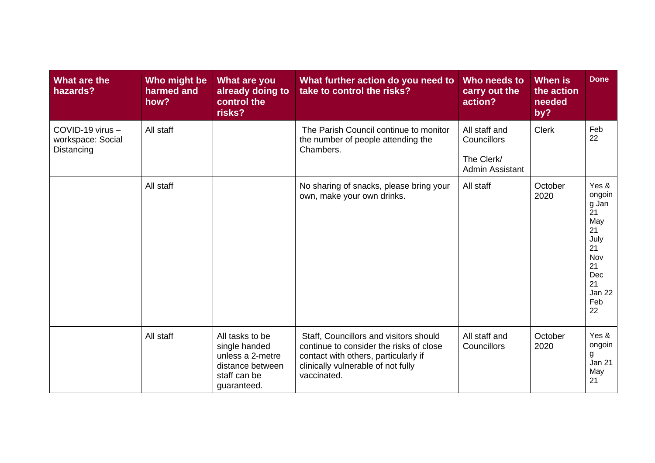| What are the<br>hazards?                            | Who might be<br>harmed and<br>how? | What are you<br>already doing to<br>control the<br>risks?                                               | What further action do you need to<br>take to control the risks?                                                                                                               | Who needs to<br>carry out the<br>action?                             | <b>When is</b><br>the action<br>needed<br>by? | <b>Done</b>                                                                                                |
|-----------------------------------------------------|------------------------------------|---------------------------------------------------------------------------------------------------------|--------------------------------------------------------------------------------------------------------------------------------------------------------------------------------|----------------------------------------------------------------------|-----------------------------------------------|------------------------------------------------------------------------------------------------------------|
| COVID-19 virus -<br>workspace: Social<br>Distancing | All staff                          |                                                                                                         | The Parish Council continue to monitor<br>the number of people attending the<br>Chambers.                                                                                      | All staff and<br>Councillors<br>The Clerk/<br><b>Admin Assistant</b> | <b>Clerk</b>                                  | Feb<br>22                                                                                                  |
|                                                     | All staff                          |                                                                                                         | No sharing of snacks, please bring your<br>own, make your own drinks.                                                                                                          | All staff                                                            | October<br>2020                               | Yes &<br>ongoin<br>g Jan<br>21<br>May<br>21<br>July<br>21<br>Nov<br>21<br>Dec<br>21<br>Jan 22<br>Feb<br>22 |
|                                                     | All staff                          | All tasks to be<br>single handed<br>unless a 2-metre<br>distance between<br>staff can be<br>guaranteed. | Staff, Councillors and visitors should<br>continue to consider the risks of close<br>contact with others, particularly if<br>clinically vulnerable of not fully<br>vaccinated. | All staff and<br>Councillors                                         | October<br>2020                               | Yes &<br>ongoin<br>g<br><b>Jan 21</b><br>May<br>21                                                         |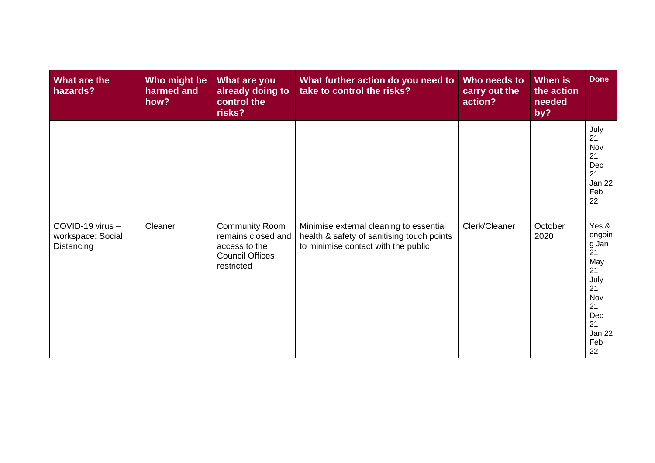| What are the<br>hazards?                            | Who might be<br>harmed and<br>how? | What are you<br>already doing to<br>control the<br>risks?                                            | What further action do you need to<br>take to control the risks?                                                             | Who needs to<br>carry out the<br>action? | When is<br>the action<br>needed<br>by? | <b>Done</b>                                                                                                |
|-----------------------------------------------------|------------------------------------|------------------------------------------------------------------------------------------------------|------------------------------------------------------------------------------------------------------------------------------|------------------------------------------|----------------------------------------|------------------------------------------------------------------------------------------------------------|
|                                                     |                                    |                                                                                                      |                                                                                                                              |                                          |                                        | July<br>21<br>Nov<br>21<br>Dec<br>21<br>Jan 22<br>Feb<br>22                                                |
| COVID-19 virus -<br>workspace: Social<br>Distancing | Cleaner                            | <b>Community Room</b><br>remains closed and<br>access to the<br><b>Council Offices</b><br>restricted | Minimise external cleaning to essential<br>health & safety of sanitising touch points<br>to minimise contact with the public | Clerk/Cleaner                            | October<br>2020                        | Yes &<br>ongoin<br>g Jan<br>21<br>May<br>21<br>July<br>21<br>Nov<br>21<br>Dec<br>21<br>Jan 22<br>Feb<br>22 |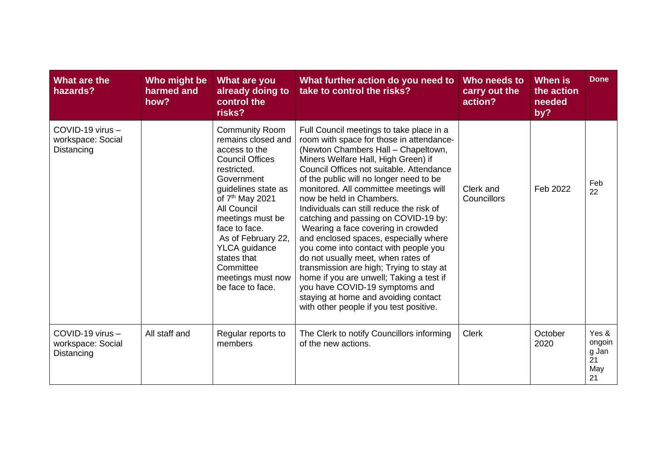| What are the<br>hazards?                            | Who might be<br>harmed and<br>how? | What are you<br>already doing to<br>control the<br>risks?                                                                                                                                                                                                                                                                                               | What further action do you need to<br>take to control the risks?                                                                                                                                                                                                                                                                                                                                                                                                                                                                                                                                                                                                                                                                                                                               | Who needs to<br>carry out the<br>action? | <b>When is</b><br>the action<br>needed<br>by? | <b>Done</b>                                 |
|-----------------------------------------------------|------------------------------------|---------------------------------------------------------------------------------------------------------------------------------------------------------------------------------------------------------------------------------------------------------------------------------------------------------------------------------------------------------|------------------------------------------------------------------------------------------------------------------------------------------------------------------------------------------------------------------------------------------------------------------------------------------------------------------------------------------------------------------------------------------------------------------------------------------------------------------------------------------------------------------------------------------------------------------------------------------------------------------------------------------------------------------------------------------------------------------------------------------------------------------------------------------------|------------------------------------------|-----------------------------------------------|---------------------------------------------|
| COVID-19 virus -<br>workspace: Social<br>Distancing |                                    | <b>Community Room</b><br>remains closed and<br>access to the<br><b>Council Offices</b><br>restricted.<br>Government<br>guidelines state as<br>of 7 <sup>th</sup> May 2021<br><b>All Council</b><br>meetings must be<br>face to face.<br>As of February 22,<br><b>YLCA</b> guidance<br>states that<br>Committee<br>meetings must now<br>be face to face. | Full Council meetings to take place in a<br>room with space for those in attendance-<br>(Newton Chambers Hall - Chapeltown,<br>Miners Welfare Hall, High Green) if<br>Council Offices not suitable. Attendance<br>of the public will no longer need to be<br>monitored. All committee meetings will<br>now be held in Chambers.<br>Individuals can still reduce the risk of<br>catching and passing on COVID-19 by:<br>Wearing a face covering in crowded<br>and enclosed spaces, especially where<br>you come into contact with people you<br>do not usually meet, when rates of<br>transmission are high; Trying to stay at<br>home if you are unwell; Taking a test if<br>you have COVID-19 symptoms and<br>staying at home and avoiding contact<br>with other people if you test positive. | Clerk and<br>Councillors                 | Feb 2022                                      | Feb<br>22                                   |
| COVID-19 virus -<br>workspace: Social<br>Distancing | All staff and                      | Regular reports to<br>members                                                                                                                                                                                                                                                                                                                           | The Clerk to notify Councillors informing<br>of the new actions.                                                                                                                                                                                                                                                                                                                                                                                                                                                                                                                                                                                                                                                                                                                               | <b>Clerk</b>                             | October<br>2020                               | Yes &<br>ongoin<br>g Jan<br>21<br>May<br>21 |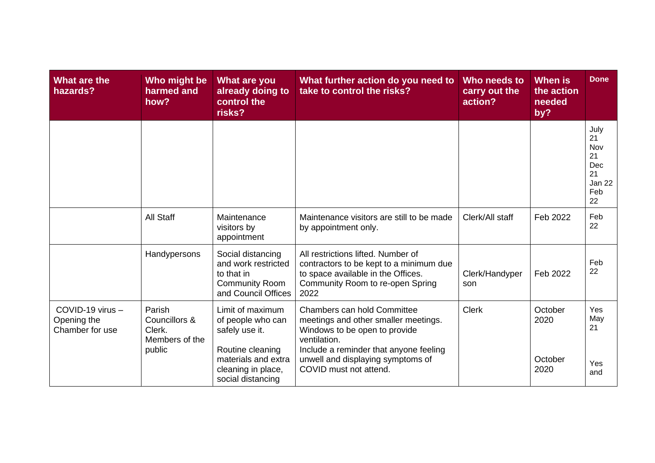| What are the<br>hazards?                           | Who might be<br>harmed and<br>how?                            | <b>What are you</b><br>already doing to<br>control the<br>risks?                                                                              | What further action do you need to<br>take to control the risks?                                                                                                                                                                     | Who needs to<br>carry out the<br>action? | <b>When is</b><br>the action<br>needed<br>by? | <b>Done</b>                                                 |
|----------------------------------------------------|---------------------------------------------------------------|-----------------------------------------------------------------------------------------------------------------------------------------------|--------------------------------------------------------------------------------------------------------------------------------------------------------------------------------------------------------------------------------------|------------------------------------------|-----------------------------------------------|-------------------------------------------------------------|
|                                                    |                                                               |                                                                                                                                               |                                                                                                                                                                                                                                      |                                          |                                               | July<br>21<br>Nov<br>21<br>Dec<br>21<br>Jan 22<br>Feb<br>22 |
|                                                    | <b>All Staff</b>                                              | Maintenance<br>visitors by<br>appointment                                                                                                     | Maintenance visitors are still to be made<br>by appointment only.                                                                                                                                                                    | Clerk/All staff                          | Feb 2022                                      | Feb<br>22                                                   |
|                                                    | Handypersons                                                  | Social distancing<br>and work restricted<br>to that in<br><b>Community Room</b><br>and Council Offices                                        | All restrictions lifted. Number of<br>contractors to be kept to a minimum due<br>to space available in the Offices.<br>Community Room to re-open Spring<br>2022                                                                      | Clerk/Handyper<br>son                    | Feb 2022                                      | Feb<br>22                                                   |
| COVID-19 virus -<br>Opening the<br>Chamber for use | Parish<br>Councillors &<br>Clerk.<br>Members of the<br>public | Limit of maximum<br>of people who can<br>safely use it.<br>Routine cleaning<br>materials and extra<br>cleaning in place,<br>social distancing | <b>Chambers can hold Committee</b><br>meetings and other smaller meetings.<br>Windows to be open to provide<br>ventilation.<br>Include a reminder that anyone feeling<br>unwell and displaying symptoms of<br>COVID must not attend. | <b>Clerk</b>                             | October<br>2020<br>October<br>2020            | Yes<br>May<br>21<br>Yes<br>and                              |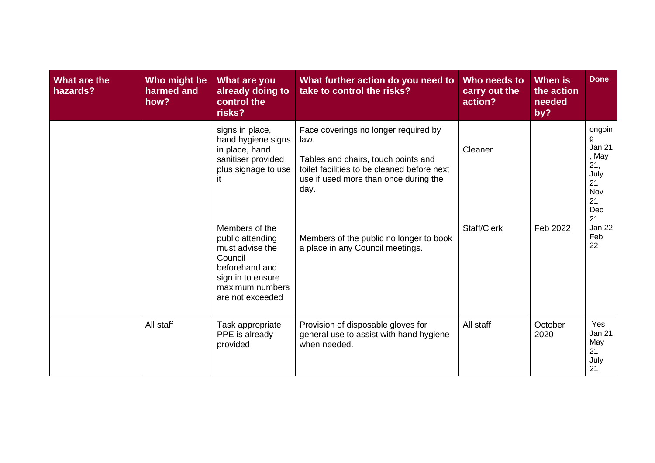| What are the<br>hazards? | Who might be<br>harmed and<br>how? | <b>What are you</b><br>already doing to<br>control the<br>risks?                                                                                                                                                                                             | What further action do you need to<br>take to control the risks?                                                                                                                                                                                                   | Who needs to<br>carry out the<br>action? | <b>When is</b><br>the action<br>needed<br>by? | <b>Done</b>                                                                                                 |
|--------------------------|------------------------------------|--------------------------------------------------------------------------------------------------------------------------------------------------------------------------------------------------------------------------------------------------------------|--------------------------------------------------------------------------------------------------------------------------------------------------------------------------------------------------------------------------------------------------------------------|------------------------------------------|-----------------------------------------------|-------------------------------------------------------------------------------------------------------------|
|                          |                                    | signs in place,<br>hand hygiene signs<br>in place, hand<br>sanitiser provided<br>plus signage to use<br>it<br>Members of the<br>public attending<br>must advise the<br>Council<br>beforehand and<br>sign in to ensure<br>maximum numbers<br>are not exceeded | Face coverings no longer required by<br>law.<br>Tables and chairs, touch points and<br>toilet facilities to be cleaned before next<br>use if used more than once during the<br>day.<br>Members of the public no longer to book<br>a place in any Council meetings. | Cleaner<br>Staff/Clerk                   | Feb 2022                                      | ongoin<br>g<br><b>Jan 21</b><br>, May<br>21,<br>July<br>21<br>Nov<br>21<br>Dec<br>21<br>Jan 22<br>Feb<br>22 |
|                          | All staff                          | Task appropriate<br>PPE is already<br>provided                                                                                                                                                                                                               | Provision of disposable gloves for<br>general use to assist with hand hygiene<br>when needed.                                                                                                                                                                      | All staff                                | October<br>2020                               | Yes<br>Jan 21<br>May<br>21<br>July<br>21                                                                    |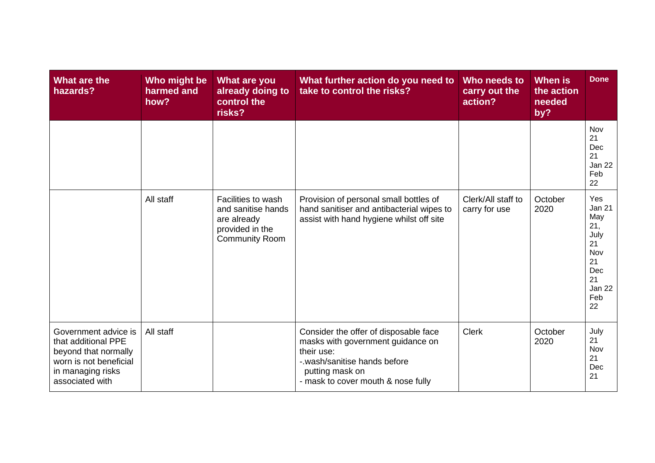| What are the<br>hazards?                                                                                                              | Who might be<br>harmed and<br>how? | What are you<br>already doing to<br>control the<br>risks?                                           | What further action do you need to<br>take to control the risks?                                                                                                                  | Who needs to<br>carry out the<br>action? | <b>When is</b><br>the action<br>needed<br>by? | <b>Done</b>                                                                                       |
|---------------------------------------------------------------------------------------------------------------------------------------|------------------------------------|-----------------------------------------------------------------------------------------------------|-----------------------------------------------------------------------------------------------------------------------------------------------------------------------------------|------------------------------------------|-----------------------------------------------|---------------------------------------------------------------------------------------------------|
|                                                                                                                                       |                                    |                                                                                                     |                                                                                                                                                                                   |                                          |                                               | Nov<br>21<br>Dec<br>21<br>Jan 22<br>Feb<br>22                                                     |
|                                                                                                                                       | All staff                          | Facilities to wash<br>and sanitise hands<br>are already<br>provided in the<br><b>Community Room</b> | Provision of personal small bottles of<br>hand sanitiser and antibacterial wipes to<br>assist with hand hygiene whilst off site                                                   | Clerk/All staff to<br>carry for use      | October<br>2020                               | Yes<br><b>Jan 21</b><br>May<br>21,<br>July<br>21<br>Nov<br>21<br>Dec<br>21<br>Jan 22<br>Feb<br>22 |
| Government advice is<br>that additional PPE<br>beyond that normally<br>worn is not beneficial<br>in managing risks<br>associated with | All staff                          |                                                                                                     | Consider the offer of disposable face<br>masks with government guidance on<br>their use:<br>-.wash/sanitise hands before<br>putting mask on<br>- mask to cover mouth & nose fully | <b>Clerk</b>                             | October<br>2020                               | July<br>21<br>Nov<br>21<br>Dec<br>21                                                              |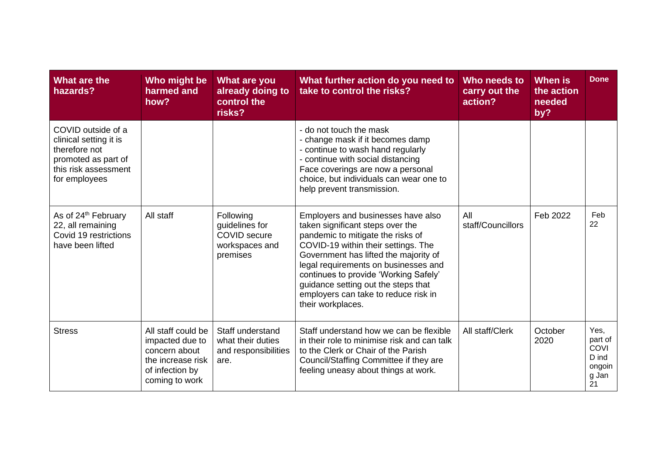| What are the<br>hazards?                                                                                                      | Who might be<br>harmed and<br>how?                                                                               | <b>What are you</b><br>already doing to<br>control the<br>risks?                 | What further action do you need to<br>take to control the risks?                                                                                                                                                                                                                                                                                                                 | Who needs to<br>carry out the<br>action? | <b>When is</b><br>the action<br>needed<br>by? | <b>Done</b>                                                      |
|-------------------------------------------------------------------------------------------------------------------------------|------------------------------------------------------------------------------------------------------------------|----------------------------------------------------------------------------------|----------------------------------------------------------------------------------------------------------------------------------------------------------------------------------------------------------------------------------------------------------------------------------------------------------------------------------------------------------------------------------|------------------------------------------|-----------------------------------------------|------------------------------------------------------------------|
| COVID outside of a<br>clinical setting it is<br>therefore not<br>promoted as part of<br>this risk assessment<br>for employees |                                                                                                                  |                                                                                  | - do not touch the mask<br>- change mask if it becomes damp<br>- continue to wash hand regularly<br>- continue with social distancing<br>Face coverings are now a personal<br>choice, but individuals can wear one to<br>help prevent transmission.                                                                                                                              |                                          |                                               |                                                                  |
| As of 24 <sup>th</sup> February<br>22, all remaining<br>Covid 19 restrictions<br>have been lifted                             | All staff                                                                                                        | Following<br>guidelines for<br><b>COVID</b> secure<br>workspaces and<br>premises | Employers and businesses have also<br>taken significant steps over the<br>pandemic to mitigate the risks of<br>COVID-19 within their settings. The<br>Government has lifted the majority of<br>legal requirements on businesses and<br>continues to provide 'Working Safely'<br>guidance setting out the steps that<br>employers can take to reduce risk in<br>their workplaces. | All<br>staff/Councillors                 | Feb 2022                                      | Feb<br>22                                                        |
| <b>Stress</b>                                                                                                                 | All staff could be<br>impacted due to<br>concern about<br>the increase risk<br>of infection by<br>coming to work | Staff understand<br>what their duties<br>and responsibilities<br>are.            | Staff understand how we can be flexible<br>in their role to minimise risk and can talk<br>to the Clerk or Chair of the Parish<br>Council/Staffing Committee if they are<br>feeling uneasy about things at work.                                                                                                                                                                  | All staff/Clerk                          | October<br>2020                               | Yes,<br>part of<br><b>COVI</b><br>D ind<br>ongoin<br>g Jan<br>21 |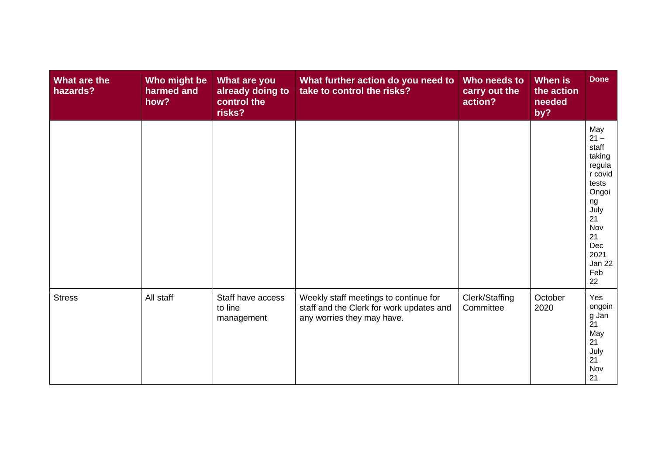| What are the<br>hazards? | Who might be<br>harmed and<br>how? | What are you<br>already doing to<br>control the<br>risks? | What further action do you need to<br>take to control the risks?                                                | Who needs to<br>carry out the<br>action? | When is<br>the action<br>needed<br>by? | <b>Done</b>                                                                                                                                    |
|--------------------------|------------------------------------|-----------------------------------------------------------|-----------------------------------------------------------------------------------------------------------------|------------------------------------------|----------------------------------------|------------------------------------------------------------------------------------------------------------------------------------------------|
|                          |                                    |                                                           |                                                                                                                 |                                          |                                        | May<br>$21 -$<br>staff<br>taking<br>regula<br>r covid<br>tests<br>Ongoi<br>ng<br>July<br>21<br>Nov<br>21<br>Dec<br>2021<br>Jan 22<br>Feb<br>22 |
| <b>Stress</b>            | All staff                          | Staff have access<br>to line<br>management                | Weekly staff meetings to continue for<br>staff and the Clerk for work updates and<br>any worries they may have. | Clerk/Staffing<br>Committee              | October<br>2020                        | Yes<br>ongoin<br>g Jan<br>21<br>May<br>21<br>July<br>21<br>Nov<br>21                                                                           |